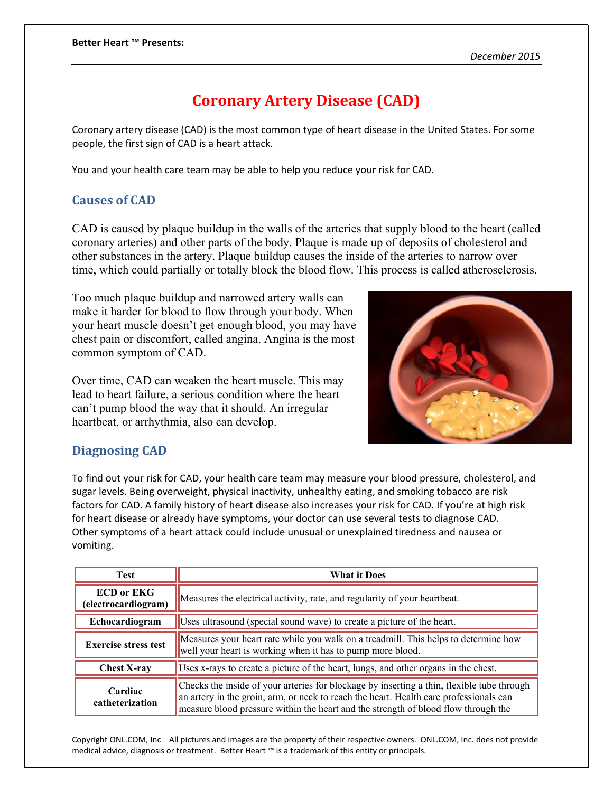## **Coronary Artery Disease (CAD)**

Coronary artery disease (CAD) is the most common type of heart disease in the United States. For some people, the first sign of CAD is a heart attack.

You and your health care team may be able to help you reduce your risk for CAD.

## **Causes of CAD**

CAD is caused by plaque buildup in the walls of the arteries that supply blood to the heart (called coronary arteries) and other parts of the body. Plaque is made up of deposits of cholesterol and other substances in the artery. Plaque buildup causes the inside of the arteries to narrow over time, which could partially or totally block the blood flow. This process is called atherosclerosis.

Too much plaque buildup and narrowed artery walls can make it harder for blood to flow through your body. When your heart muscle doesn't get enough blood, you may have chest pain or discomfort, called angina. Angina is the most common symptom of CAD.

Over time, CAD can weaken the heart muscle. This may lead to heart failure, a serious condition where the heart can't pump blood the way that it should. An irregular heartbeat, or arrhythmia, also can develop.



## **Diagnosing CAD**

To find out your risk for CAD, your health care team may measure your blood pressure, cholesterol, and sugar levels. Being overweight, physical inactivity, unhealthy eating, and smoking tobacco are risk factors for CAD. A family history of heart disease also increases your risk for CAD. If you're at high risk for heart disease or already have symptoms, your doctor can use several tests to diagnose CAD. Other symptoms of a heart attack could include unusual or unexplained tiredness and nausea or vomiting.

| <b>Test</b>                              | <b>What it Does</b>                                                                                                                                                                                                                                                        |
|------------------------------------------|----------------------------------------------------------------------------------------------------------------------------------------------------------------------------------------------------------------------------------------------------------------------------|
| <b>ECD or EKG</b><br>(electrocardiogram) | Measures the electrical activity, rate, and regularity of your heartbeat.                                                                                                                                                                                                  |
| Echocardiogram                           | Uses ultrasound (special sound wave) to create a picture of the heart.                                                                                                                                                                                                     |
| <b>Exercise stress test</b>              | Measures your heart rate while you walk on a treadmill. This helps to determine how<br>well your heart is working when it has to pump more blood.                                                                                                                          |
| <b>Chest X-ray</b>                       | Uses x-rays to create a picture of the heart, lungs, and other organs in the chest.                                                                                                                                                                                        |
| Cardiac<br>catheterization               | Checks the inside of your arteries for blockage by inserting a thin, flexible tube through<br>an artery in the groin, arm, or neck to reach the heart. Health care professionals can<br>measure blood pressure within the heart and the strength of blood flow through the |

Copyright ONL.COM, Inc All pictures and images are the property of their respective owners. ONL.COM, Inc. does not provide medical advice, diagnosis or treatment. Better Heart ™ is a trademark of this entity or principals.